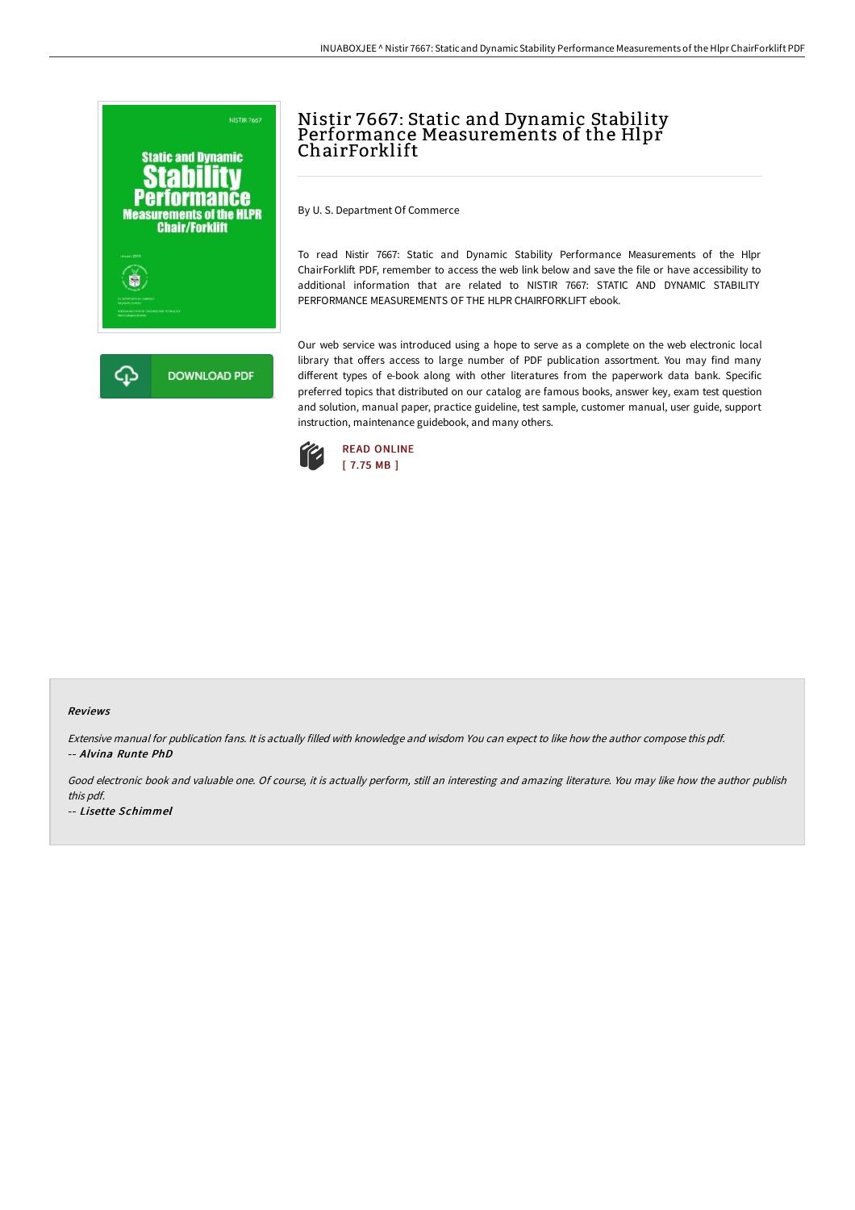

# Nistir 7667: Static and Dynamic Stability Performance Measurements of the Hlpr ChairForklift

By U. S. Department Of Commerce

To read Nistir 7667: Static and Dynamic Stability Performance Measurements of the Hlpr ChairForklift PDF, remember to access the web link below and save the file or have accessibility to additional information that are related to NISTIR 7667: STATIC AND DYNAMIC STABILITY PERFORMANCE MEASUREMENTS OF THE HLPR CHAIRFORKLIFT ebook.

Our web service was introduced using a hope to serve as a complete on the web electronic local library that offers access to large number of PDF publication assortment. You may find many different types of e-book along with other literatures from the paperwork data bank. Specific preferred topics that distributed on our catalog are famous books, answer key, exam test question and solution, manual paper, practice guideline, test sample, customer manual, user guide, support instruction, maintenance guidebook, and many others.



#### Reviews

Extensive manual for publication fans. It is actually filled with knowledge and wisdom You can expect to like how the author compose this pdf. -- Alvina Runte PhD

Good electronic book and valuable one. Of course, it is actually perform, still an interesting and amazing literature. You may like how the author publish this pdf.

-- Lisette Schimmel